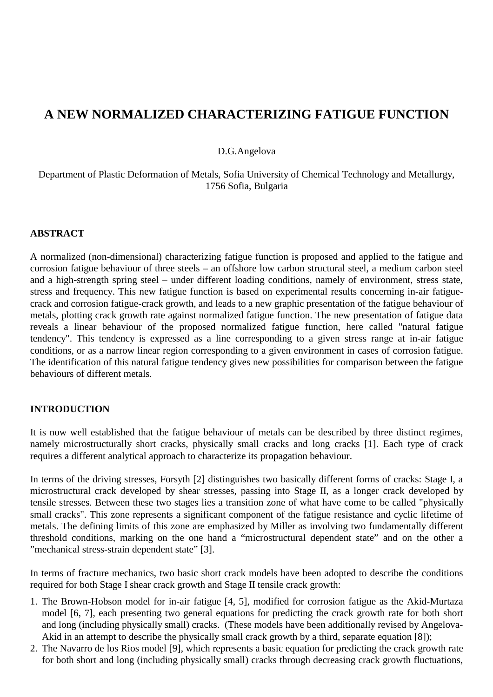# **A NEW NORMALIZED CHARACTERIZING FATIGUE FUNCTION**

#### D.G.Angelova

## Department of Plastic Deformation of Metals, Sofia University of Chemical Technology and Metallurgy, 1756 Sofia, Bulgaria

#### **ABSTRACT**

A normalized (non-dimensional) characterizing fatigue function is proposed and applied to the fatigue and corrosion fatigue behaviour of three steels – an offshore low carbon structural steel, a medium carbon steel and a high-strength spring steel – under different loading conditions, namely of environment, stress state, stress and frequency. This new fatigue function is based on experimental results concerning in-air fatiguecrack and corrosion fatigue-crack growth, and leads to a new graphic presentation of the fatigue behaviour of metals, plotting crack growth rate against normalized fatigue function. The new presentation of fatigue data reveals a linear behaviour of the proposed normalized fatigue function, here called "natural fatigue tendency". This tendency is expressed as a line corresponding to a given stress range at in-air fatigue conditions, or as a narrow linear region corresponding to a given environment in cases of corrosion fatigue. The identification of this natural fatigue tendency gives new possibilities for comparison between the fatigue behaviours of different metals.

#### **INTRODUCTION**

It is now well established that the fatigue behaviour of metals can be described by three distinct regimes, namely microstructurally short cracks, physically small cracks and long cracks [1]. Each type of crack requires a different analytical approach to characterize its propagation behaviour.

In terms of the driving stresses, Forsyth [2] distinguishes two basically different forms of cracks: Stage I, a microstructural crack developed by shear stresses, passing into Stage II, as a longer crack developed by tensile stresses. Between these two stages lies a transition zone of what have come to be called "physically small cracks". This zone represents a significant component of the fatigue resistance and cyclic lifetime of metals. The defining limits of this zone are emphasized by Miller as involving two fundamentally different threshold conditions, marking on the one hand a "microstructural dependent state" and on the other a "mechanical stress-strain dependent state" [3].

In terms of fracture mechanics, two basic short crack models have been adopted to describe the conditions required for both Stage I shear crack growth and Stage II tensile crack growth:

- 1. The Brown-Hobson model for in-air fatigue [4, 5], modified for corrosion fatigue as the Akid-Murtaza model [6, 7], each presenting two general equations for predicting the crack growth rate for both short and long (including physically small) cracks. (These models have been additionally revised by Angelova-Akid in an attempt to describe the physically small crack growth by a third, separate equation [8]);
- 2. The Navarro de los Rios model [9], which represents a basic equation for predicting the crack growth rate for both short and long (including physically small) cracks through decreasing crack growth fluctuations,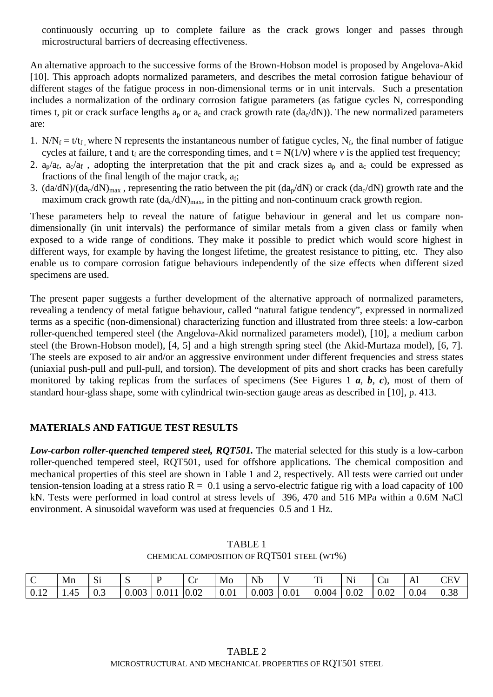continuously occurring up to complete failure as the crack grows longer and passes through microstructural barriers of decreasing effectiveness.

An alternative approach to the successive forms of the Brown-Hobson model is proposed by Angelova-Akid [10]. This approach adopts normalized parameters, and describes the metal corrosion fatigue behaviour of different stages of the fatigue process in non-dimensional terms or in unit intervals. Such a presentation includes a normalization of the ordinary corrosion fatigue parameters (as fatigue cycles N, corresponding times t, pit or crack surface lengths  $a_p$  or  $a_c$  and crack growth rate (da<sub>c</sub>/dN)). The new normalized parameters are:

- 1.  $N/N_f = t/t_f$  where N represents the instantaneous number of fatigue cycles, N<sub>f</sub>, the final number of fatigue cycles at failure, t and  $t_f$  are the corresponding times, and  $t = N(1/v)$  where *v* is the applied test frequency;
- 2.  $a_p/a_f$ ,  $a_c/a_f$ , adopting the interpretation that the pit and crack sizes  $a_p$  and  $a_c$  could be expressed as fractions of the final length of the major crack,  $a_f$ ;
- 3.  $\frac{da}{dN}$ /(da<sub>c</sub>/dN)<sub>max</sub>, representing the ratio between the pit  $\frac{da_p}{dN}$  or crack  $\frac{da_c}{dN}$  growth rate and the maximum crack growth rate  $(da<sub>c</sub>/dN)<sub>max</sub>$ , in the pitting and non-continuum crack growth region.

These parameters help to reveal the nature of fatigue behaviour in general and let us compare nondimensionally (in unit intervals) the performance of similar metals from a given class or family when exposed to a wide range of conditions. They make it possible to predict which would score highest in different ways, for example by having the longest lifetime, the greatest resistance to pitting, etc. They also enable us to compare corrosion fatigue behaviours independently of the size effects when different sized specimens are used.

The present paper suggests a further development of the alternative approach of normalized parameters, revealing a tendency of metal fatigue behaviour, called "natural fatigue tendency", expressed in normalized terms as a specific (non-dimensional) characterizing function and illustrated from three steels: a low-carbon roller-quenched tempered steel (the Angelova-Akid normalized parameters model), [10], a medium carbon steel (the Brown-Hobson model), [4, 5] and a high strength spring steel (the Akid-Murtaza model), [6, 7]. The steels are exposed to air and/or an aggressive environment under different frequencies and stress states (uniaxial push-pull and pull-pull, and torsion). The development of pits and short cracks has been carefully monitored by taking replicas from the surfaces of specimens (See Figures 1 *a*, *b*, *c*), most of them of standard hour-glass shape, some with cylindrical twin-section gauge areas as described in [10], p. 413.

# **MATERIALS AND FATIGUE TEST RESULTS**

*Low-carbon roller-quenched tempered steel, RQT501.* The material selected for this study is a low-carbon roller-quenched tempered steel, RQT501, used for offshore applications. The chemical composition and mechanical properties of this steel are shown in Table 1 and 2, respectively. All tests were carried out under tension-tension loading at a stress ratio  $R = 0.1$  using a servo-electric fatigue rig with a load capacity of 100 kN. Tests were performed in load control at stress levels of 396, 470 and 516 MPa within a 0.6M NaCl environment. A sinusoidal waveform was used at frequencies 0.5 and 1 Hz.

| $\mathbf C$ | $\vert$ Mn $\vert$ Si                                                                                                                                          |  | $\mathbf{P}$ | Cr | $\mathsf{M}_0$   Nb   V   Ti |  | $\vert$ Ni $\vert$ Cu $\vert$ Al |  | $ $ CEV |
|-------------|----------------------------------------------------------------------------------------------------------------------------------------------------------------|--|--------------|----|------------------------------|--|----------------------------------|--|---------|
|             | $\vert 0.12 \vert 1.45 \vert 0.3 \vert 0.003 \vert 0.011 \vert 0.02 \vert 0.01 \vert 0.003 \vert 0.01 \vert 0.004 \vert 0.02 \vert 0.02 \vert 0.04 \vert 0.38$ |  |              |    |                              |  |                                  |  |         |

TABLE 1 CHEMICAL COMPOSITION OF RQT501 STEEL (WT%)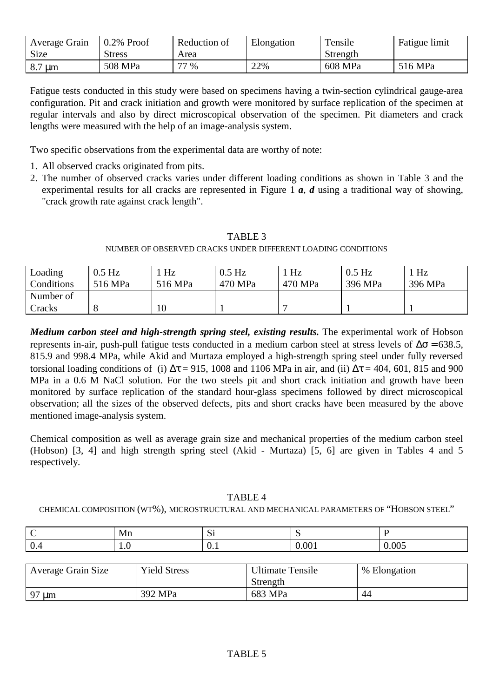| Average Grain | $0.2\%$ Proof | Reduction of | Elongation | Tensile  | <b>Fatigue limit</b> |
|---------------|---------------|--------------|------------|----------|----------------------|
| Size          | <b>Stress</b> | Area         |            | Strength |                      |
| $8.7 \mu m$   | 508 MPa       | 77 %         | 22%        | 608 MPa  | 516 MPa              |

Fatigue tests conducted in this study were based on specimens having a twin-section cylindrical gauge-area configuration. Pit and crack initiation and growth were monitored by surface replication of the specimen at regular intervals and also by direct microscopical observation of the specimen. Pit diameters and crack lengths were measured with the help of an image-analysis system.

Two specific observations from the experimental data are worthy of note:

- 1. All observed cracks originated from pits.
- 2. The number of observed cracks varies under different loading conditions as shown in Table 3 and the experimental results for all cracks are represented in Figure 1 *a*, *d* using a traditional way of showing, "crack growth rate against crack length".

# TABLE 3 NUMBER OF OBSERVED CRACKS UNDER DIFFERENT LOADING CONDITIONS

| Loading    | $0.5$ Hz | Hz      | $0.5$ Hz | Hz      | $0.5$ Hz | Hz      |
|------------|----------|---------|----------|---------|----------|---------|
| Conditions | 516 MPa  | 516 MPa | 470 MPa  | 470 MPa | 396 MPa  | 396 MPa |
| Number of  |          |         |          |         |          |         |
| Cracks     |          | 10      |          |         |          |         |

*Medium carbon steel and high-strength spring steel, existing results.* The experimental work of Hobson represents in-air, push-pull fatigue tests conducted in a medium carbon steel at stress levels of  $\Delta\sigma$  = 638.5, 815.9 and 998.4 MPa, while Akid and Murtaza employed a high-strength spring steel under fully reversed torsional loading conditions of (i)  $\Delta \tau = 915$ , 1008 and 1106 MPa in air, and (ii)  $\Delta \tau = 404$ , 601, 815 and 900 MPa in a 0.6 M NaCl solution. For the two steels pit and short crack initiation and growth have been monitored by surface replication of the standard hour-glass specimens followed by direct microscopical observation; all the sizes of the observed defects, pits and short cracks have been measured by the above mentioned image-analysis system.

Chemical composition as well as average grain size and mechanical properties of the medium carbon steel (Hobson) [3, 4] and high strength spring steel (Akid - Murtaza) [5, 6] are given in Tables 4 and 5 respectively.

# TABLE 4

CHEMICAL COMPOSITION (WT%), MICROSTRUCTURAL AND MECHANICAL PARAMETERS OF "HOBSON STEEL"

|                 | Mn  | $\tilde{\phantom{a}}$<br>ΜI |                   |       |
|-----------------|-----|-----------------------------|-------------------|-------|
| $\Omega$<br>V.4 | 1.0 | ◡.                          | $\Omega$<br>v.001 | 0.005 |

| Average Grain Size | <b>Yield Stress</b> | <b>Ultimate Tensile</b> | % Elongation |
|--------------------|---------------------|-------------------------|--------------|
|                    |                     | Strength                |              |
| 97 µm              | 392 MPa             | 683 MPa                 | 44           |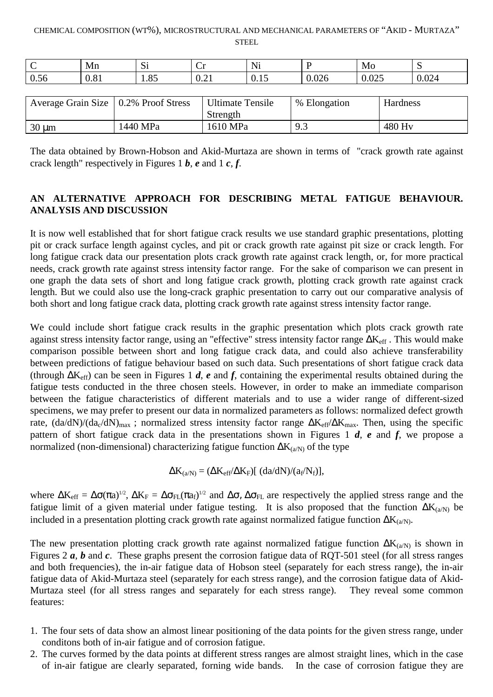#### CHEMICAL COMPOSITION (WT%), MICROSTRUCTURAL AND MECHANICAL PARAMETERS OF "AKID - MURTAZA" **STEEL**

| ∼                      | Mn                          | $\sim$<br>ΝI                       | ◡            | Ni                 |                   | Mo                | ້            |
|------------------------|-----------------------------|------------------------------------|--------------|--------------------|-------------------|-------------------|--------------|
| $-7$<br>$\sim$<br>U.56 | $\Omega$ 0.1<br><b>0.01</b> | $Q \subseteq$<br>$\lambda$<br>1.0J | $\sim$<br>V· | . .<br><u>v.ij</u> | $\Omega$<br>0.026 | $\Omega$<br>0.025 | 224<br>U.UZH |

| Average Grain Size   0.2% Proof Stress |          | <b>Ultimate Tensile</b><br>Strength | % Elongation | Hardness           |
|----------------------------------------|----------|-------------------------------------|--------------|--------------------|
| $30 \mu m$                             | 1440 MPa | 1610 MPa                            | 9.3          | 480 H <sub>v</sub> |

The data obtained by Brown-Hobson and Akid-Murtaza are shown in terms of "crack growth rate against crack length" respectively in Figures 1 *b*, *e* and 1 *c*, *f*.

# **AN ALTERNATIVE APPROACH FOR DESCRIBING METAL FATIGUE BEHAVIOUR. ANALYSIS AND DISCUSSION**

It is now well established that for short fatigue crack results we use standard graphic presentations, plotting pit or crack surface length against cycles, and pit or crack growth rate against pit size or crack length. For long fatigue crack data our presentation plots crack growth rate against crack length, or, for more practical needs, crack growth rate against stress intensity factor range. For the sake of comparison we can present in one graph the data sets of short and long fatigue crack growth, plotting crack growth rate against crack length. But we could also use the long-crack graphic presentation to carry out our comparative analysis of both short and long fatigue crack data, plotting crack growth rate against stress intensity factor range.

We could include short fatigue crack results in the graphic presentation which plots crack growth rate against stress intensity factor range, using an "effective" stress intensity factor range  $\Delta K_{\rm eff}$ . This would make comparison possible between short and long fatigue crack data, and could also achieve transferability between predictions of fatigue behaviour based on such data. Such presentations of short fatigue crack data (through ∆Keff) can be seen in Figures 1 *d*, *e* and *f*, containing the experimental results obtained during the fatigue tests conducted in the three chosen steels. However, in order to make an immediate comparison between the fatigue characteristics of different materials and to use a wider range of different-sized specimens, we may prefer to present our data in normalized parameters as follows: normalized defect growth rate,  $(da/dN)/(d a_c/dN)_{max}$ ; normalized stress intensity factor range  $\Delta K_{eff}/\Delta K_{max}$ . Then, using the specific pattern of short fatigue crack data in the presentations shown in Figures 1 *d*, *e* and *f*, we propose a normalized (non-dimensional) characterizing fatigue function  $\Delta K_{(a/N)}$  of the type

$$
\Delta K_{(a/N)} = (\Delta K_{eff}/\Delta K_F)[\ (da/dN)/(a_f/N_f)],
$$

where  $\Delta K_{\text{eff}} = \Delta \sigma (\pi a)^{1/2}$ ,  $\Delta K_F = \Delta \sigma_{FL} (\pi a_f)^{1/2}$  and  $\Delta \sigma$ ,  $\Delta \sigma_{FL}$  are respectively the applied stress range and the fatigue limit of a given material under fatigue testing. It is also proposed that the function  $\Delta K_{(a/N)}$  be included in a presentation plotting crack growth rate against normalized fatigue function  $\Delta K_{(a/N)}$ .

The new presentation plotting crack growth rate against normalized fatigue function  $\Delta K_{(a/N)}$  is shown in Figures 2 *a*, *b* and *c*. These graphs present the corrosion fatigue data of RQT-501 steel (for all stress ranges and both frequencies), the in-air fatigue data of Hobson steel (separately for each stress range), the in-air fatigue data of Akid-Murtaza steel (separately for each stress range), and the corrosion fatigue data of Akid-Murtaza steel (for all stress ranges and separately for each stress range). They reveal some common features:

- 1. The four sets of data show an almost linear positioning of the data points for the given stress range, under conditons both of in-air fatigue and of corrosion fatigue.
- 2. The curves formed by the data points at different stress ranges are almost straight lines, which in the case of in-air fatigue are clearly separated, forning wide bands. In the case of corrosion fatigue they are